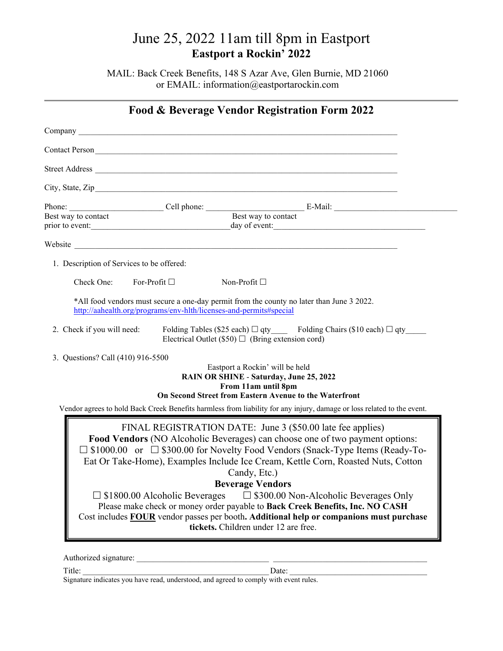MAIL: Back Creek Benefits, 148 S Azar Ave, Glen Burnie, MD 21060 or EMAIL: information@eastportarockin.com

|                                           | Company <u>example and the company</u> and the company of the company of the company of the company of the company of the company of the company of the company of the company of the company of the company of the company of the                                                                                                                                                                                                                                                                                                                 |
|-------------------------------------------|----------------------------------------------------------------------------------------------------------------------------------------------------------------------------------------------------------------------------------------------------------------------------------------------------------------------------------------------------------------------------------------------------------------------------------------------------------------------------------------------------------------------------------------------------|
|                                           |                                                                                                                                                                                                                                                                                                                                                                                                                                                                                                                                                    |
|                                           |                                                                                                                                                                                                                                                                                                                                                                                                                                                                                                                                                    |
|                                           | City, State, Zip                                                                                                                                                                                                                                                                                                                                                                                                                                                                                                                                   |
|                                           | Phone: Cell phone: Cell phone: E-Mail: E-Mail:                                                                                                                                                                                                                                                                                                                                                                                                                                                                                                     |
|                                           |                                                                                                                                                                                                                                                                                                                                                                                                                                                                                                                                                    |
|                                           | Website <b>Example 2018 Manufacture Contract Contract Contract Contract Contract Contract Contract Contract Contract Contract Contract Contract Contract Contract Contract Contract Contract Contract Contract Contract Cont</b>                                                                                                                                                                                                                                                                                                                   |
| 1. Description of Services to be offered: |                                                                                                                                                                                                                                                                                                                                                                                                                                                                                                                                                    |
| Check One:                                | For-Profit $\square$<br>Non-Profit $\square$                                                                                                                                                                                                                                                                                                                                                                                                                                                                                                       |
|                                           | *All food vendors must secure a one-day permit from the county no later than June 3 2022.<br>http://aahealth.org/programs/env-hlth/licenses-and-permits#special                                                                                                                                                                                                                                                                                                                                                                                    |
| 2. Check if you will need:                | Folding Tables (\$25 each) $\Box$ qty Folding Chairs (\$10 each) $\Box$ qty<br>Electrical Outlet (\$50) $\Box$ (Bring extension cord)                                                                                                                                                                                                                                                                                                                                                                                                              |
| 3. Questions? Call (410) 916-5500         | Eastport a Rockin' will be held<br>RAIN OR SHINE - Saturday, June 25, 2022<br>From 11am until 8pm<br>On Second Street from Eastern Avenue to the Waterfront<br>Vendor agrees to hold Back Creek Benefits harmless from liability for any injury, damage or loss related to the event.                                                                                                                                                                                                                                                              |
|                                           | FINAL REGISTRATION DATE: June 3 (\$50.00 late fee applies)<br>Food Vendors (NO Alcoholic Beverages) can choose one of two payment options:<br>$\Box$ \$1000.00 or $\Box$ \$300.00 for Novelty Food Vendors (Snack-Type Items (Ready-To-<br>Eat Or Take-Home), Examples Include Ice Cream, Kettle Corn, Roasted Nuts, Cotton<br>Candy, Etc.)<br><b>Beverage Vendors</b><br>$\square$ \$300.00 Non-Alcoholic Beverages Only<br>$\Box$ \$1800.00 Alcoholic Beverages<br>Please make check or money order payable to Back Creek Benefits, Inc. NO CASH |

Title: \_\_\_\_\_\_\_\_\_\_\_\_\_\_\_\_\_\_\_\_\_\_\_\_\_\_\_\_\_\_\_\_\_\_\_\_\_\_\_\_\_\_\_\_\_ Date: \_\_\_\_\_\_\_\_\_\_\_\_\_\_\_\_\_\_\_\_\_\_\_\_\_\_\_\_\_\_\_\_\_\_ Signature indicates you have read, understood, and agreed to comply with event rules.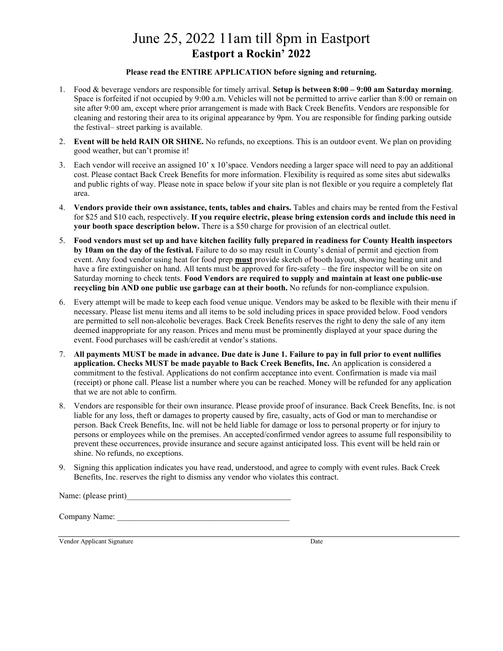#### **Please read the ENTIRE APPLICATION before signing and returning.**

- 1. Food & beverage vendors are responsible for timely arrival. **Setup is between 8:00 – 9:00 am Saturday morning**. Space is forfeited if not occupied by 9:00 a.m. Vehicles will not be permitted to arrive earlier than 8:00 or remain on site after 9:00 am, except where prior arrangement is made with Back Creek Benefits. Vendors are responsible for cleaning and restoring their area to its original appearance by 9pm. You are responsible for finding parking outside the festival– street parking is available.
- 2. **Event will be held RAIN OR SHINE.** No refunds, no exceptions. This is an outdoor event. We plan on providing good weather, but can't promise it!
- 3. Each vendor will receive an assigned  $10'$  x  $10'$  space. Vendors needing a larger space will need to pay an additional cost. Please contact Back Creek Benefits for more information. Flexibility is required as some sites abut sidewalks and public rights of way. Please note in space below if your site plan is not flexible or you require a completely flat area.
- 4. **Vendors provide their own assistance, tents, tables and chairs.** Tables and chairs may be rented from the Festival for \$25 and \$10 each, respectively. **If you require electric, please bring extension cords and include this need in your booth space description below.** There is a \$50 charge for provision of an electrical outlet.
- 5. **Food vendors must set up and have kitchen facility fully prepared in readiness for County Health inspectors by 10am on the day of the festival.** Failure to do so may result in County's denial of permit and ejection from event. Any food vendor using heat for food prep **must** provide sketch of booth layout, showing heating unit and have a fire extinguisher on hand. All tents must be approved for fire-safety – the fire inspector will be on site on Saturday morning to check tents. **Food Vendors are required to supply and maintain at least one public-use recycling bin AND one public use garbage can at their booth.** No refunds for non-compliance expulsion.
- 6. Every attempt will be made to keep each food venue unique. Vendors may be asked to be flexible with their menu if necessary. Please list menu items and all items to be sold including prices in space provided below. Food vendors are permitted to sell non-alcoholic beverages. Back Creek Benefits reserves the right to deny the sale of any item deemed inappropriate for any reason. Prices and menu must be prominently displayed at your space during the event. Food purchases will be cash/credit at vendor's stations.
- 7. **All payments MUST be made in advance. Due date is June 1. Failure to pay in full prior to event nullifies application. Checks MUST be made payable to Back Creek Benefits, Inc.** An application is considered a commitment to the festival. Applications do not confirm acceptance into event. Confirmation is made via mail (receipt) or phone call. Please list a number where you can be reached. Money will be refunded for any application that we are not able to confirm.
- 8. Vendors are responsible for their own insurance. Please provide proof of insurance. Back Creek Benefits, Inc. is not liable for any loss, theft or damages to property caused by fire, casualty, acts of God or man to merchandise or person. Back Creek Benefits, Inc. will not be held liable for damage or loss to personal property or for injury to persons or employees while on the premises. An accepted/confirmed vendor agrees to assume full responsibility to prevent these occurrences, provide insurance and secure against anticipated loss. This event will be held rain or shine. No refunds, no exceptions.
- 9. Signing this application indicates you have read, understood, and agree to comply with event rules. Back Creek Benefits, Inc. reserves the right to dismiss any vendor who violates this contract.

Name: (please print)

Company Name:

Vendor Applicant Signature Date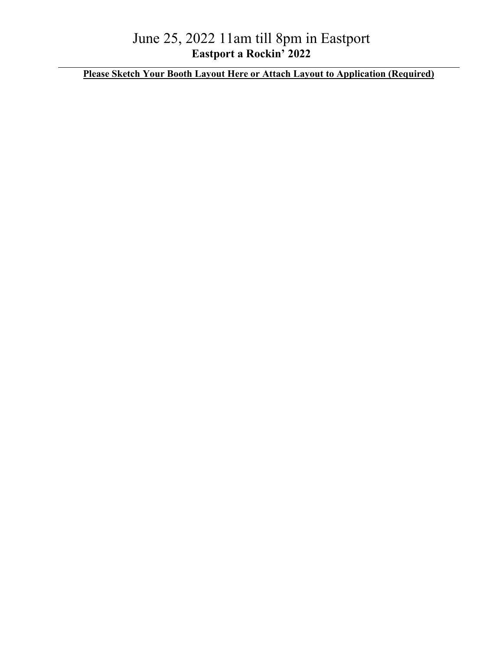**Please Sketch Your Booth Layout Here or Attach Layout to Application (Required)**